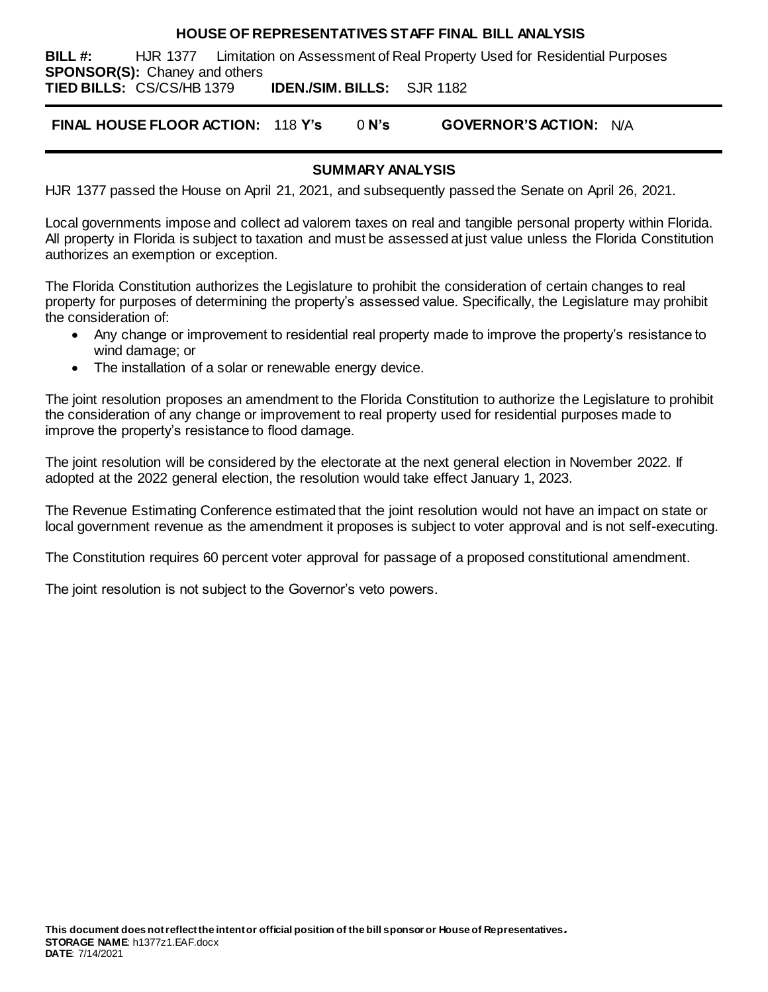#### **HOUSE OF REPRESENTATIVES STAFF FINAL BILL ANALYSIS**

**BILL #:** HJR 1377 Limitation on Assessment of Real Property Used for Residential Purposes **SPONSOR(S):** Chaney and others

**TIED BILLS:** CS/CS/HB 1379 **IDEN./SIM. BILLS:** SJR 1182

**FINAL HOUSE FLOOR ACTION:** 118 **Y's** 0 **N's GOVERNOR'S ACTION:** N/A

## **SUMMARY ANALYSIS**

HJR 1377 passed the House on April 21, 2021, and subsequently passed the Senate on April 26, 2021.

Local governments impose and collect ad valorem taxes on real and tangible personal property within Florida. All property in Florida is subject to taxation and must be assessed at just value unless the Florida Constitution authorizes an exemption or exception.

The Florida Constitution authorizes the Legislature to prohibit the consideration of certain changes to real property for purposes of determining the property's assessed value. Specifically, the Legislature may prohibit the consideration of:

- Any change or improvement to residential real property made to improve the property's resistance to wind damage; or
- The installation of a solar or renewable energy device.

The joint resolution proposes an amendment to the Florida Constitution to authorize the Legislature to prohibit the consideration of any change or improvement to real property used for residential purposes made to improve the property's resistance to flood damage.

The joint resolution will be considered by the electorate at the next general election in November 2022. If adopted at the 2022 general election, the resolution would take effect January 1, 2023.

The Revenue Estimating Conference estimated that the joint resolution would not have an impact on state or local government revenue as the amendment it proposes is subject to voter approval and is not self-executing.

The Constitution requires 60 percent voter approval for passage of a proposed constitutional amendment.

The joint resolution is not subject to the Governor's veto powers.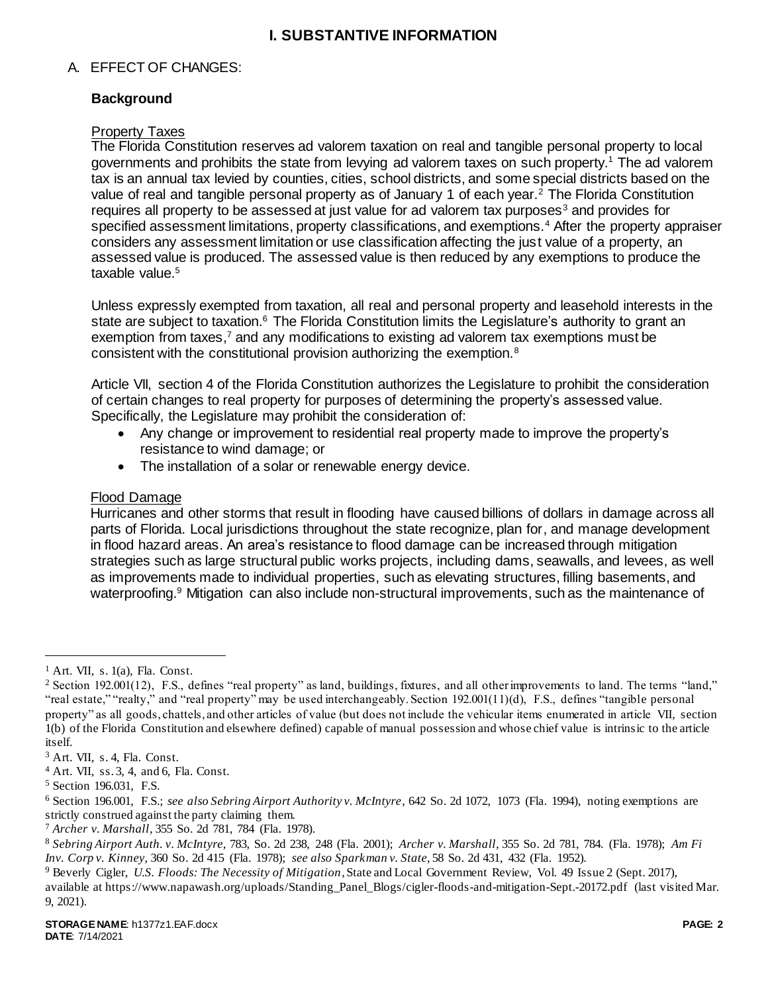## **I. SUBSTANTIVE INFORMATION**

## A. EFFECT OF CHANGES:

## **Background**

### Property Taxes

The Florida Constitution reserves ad valorem taxation on real and tangible personal property to local governments and prohibits the state from levying ad valorem taxes on such property.<sup>1</sup> The ad valorem tax is an annual tax levied by counties, cities, school districts, and some special districts based on the value of real and tangible personal property as of January 1 of each year.<sup>2</sup> The Florida Constitution requires all property to be assessed at just value for ad valorem tax purposes<sup>3</sup> and provides for specified assessment limitations, property classifications, and exemptions.<sup>4</sup> After the property appraiser considers any assessment limitation or use classification affecting the just value of a property, an assessed value is produced. The assessed value is then reduced by any exemptions to produce the taxable value.<sup>5</sup>

Unless expressly exempted from taxation, all real and personal property and leasehold interests in the state are subject to taxation.<sup>6</sup> The Florida Constitution limits the Legislature's authority to grant an exemption from taxes,<sup>7</sup> and any modifications to existing ad valorem tax exemptions must be consistent with the constitutional provision authorizing the exemption.<sup>8</sup>

Article VII, section 4 of the Florida Constitution authorizes the Legislature to prohibit the consideration of certain changes to real property for purposes of determining the property's assessed value. Specifically, the Legislature may prohibit the consideration of:

- Any change or improvement to residential real property made to improve the property's resistance to wind damage; or
- The installation of a solar or renewable energy device.

## Flood Damage

Hurricanes and other storms that result in flooding have caused billions of dollars in damage across all parts of Florida. Local jurisdictions throughout the state recognize, plan for, and manage development in flood hazard areas. An area's resistance to flood damage can be increased through mitigation strategies such as large structural public works projects, including dams, seawalls, and levees, as well as improvements made to individual properties, such as elevating structures, filling basements, and waterproofing.<sup>9</sup> Mitigation can also include non-structural improvements, such as the maintenance of

 $\overline{a}$ 

 $<sup>1</sup>$  Art. VII, s. 1(a), Fla. Const.</sup>

<sup>&</sup>lt;sup>2</sup> Section 192.001(12), F.S., defines "real property" as land, buildings, fixtures, and all other improvements to land. The terms "land," "real estate," "realty," and "real property" may be used interchangeably. Section 192.001(11)(d), F.S., defines "tangible personal property" as all goods, chattels, and other articles of value (but does not include the vehicular items enumerated in article VII, section 1(b) of the Florida Constitution and elsewhere defined) capable of manual possession and whose chief value is intrinsic to the article itself.

<sup>3</sup> Art. VII, s. 4, Fla. Const.

<sup>4</sup> Art. VII, ss. 3, 4, and 6, Fla. Const.

<sup>5</sup> Section 196.031, F.S.

<sup>6</sup> Section 196.001, F.S.; *see also Sebring Airport Authority v. McIntyre*, 642 So. 2d 1072, 1073 (Fla. 1994), noting exemptions are strictly construed against the party claiming them.

<sup>7</sup> *Archer v. Marshall*, 355 So. 2d 781, 784 (Fla. 1978).

<sup>8</sup> *Sebring Airport Auth. v. McIntyre,* 783, So. 2d 238, 248 (Fla. 2001); *Archer v. Marshall,* 355 So. 2d 781, 784. (Fla. 1978); *Am Fi Inv. Corp v. Kinney,* 360 So. 2d 415 (Fla. 1978); *see also Sparkman v. State,* 58 So. 2d 431, 432 (Fla. 1952).

<sup>9</sup> Beverly Cigler, *U.S. Floods: The Necessity of Mitigation*, State and Local Government Review, Vol. 49 Issue 2 (Sept. 2017), available at https://www.napawash.org/uploads/Standing\_Panel\_Blogs/cigler-floods-and-mitigation-Sept.-20172.pdf (last visited Mar. 9, 2021).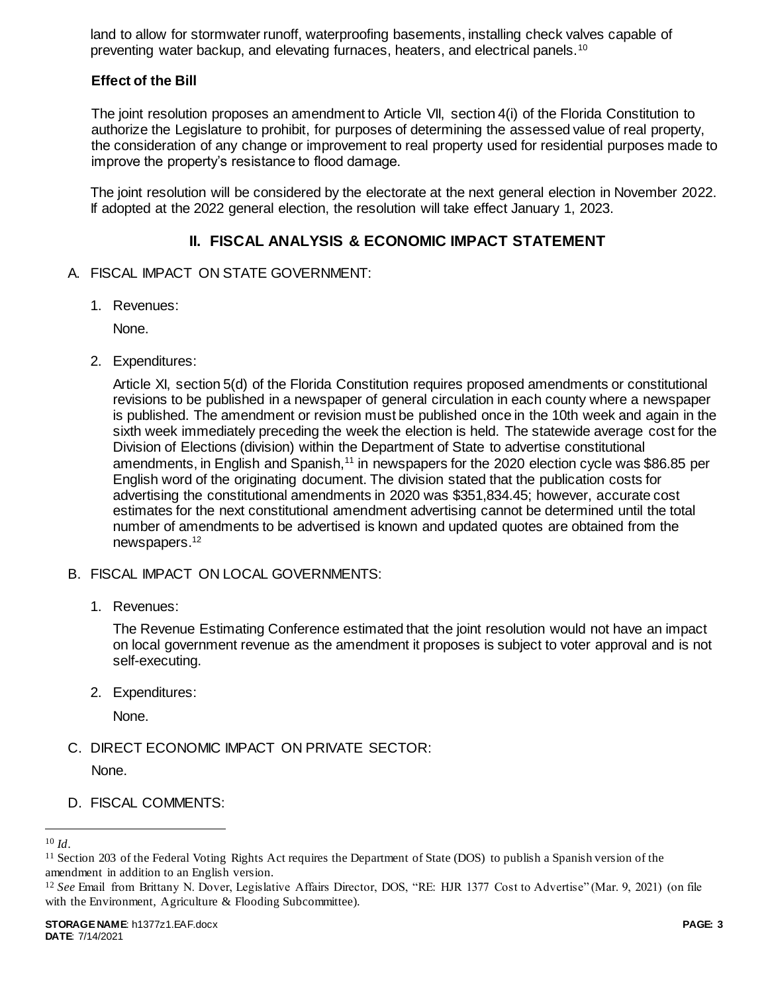land to allow for stormwater runoff, waterproofing basements, installing check valves capable of preventing water backup, and elevating furnaces, heaters, and electrical panels.<sup>10</sup>

# **Effect of the Bill**

The joint resolution proposes an amendment to Article VII, section 4(i) of the Florida Constitution to authorize the Legislature to prohibit, for purposes of determining the assessed value of real property, the consideration of any change or improvement to real property used for residential purposes made to improve the property's resistance to flood damage.

The joint resolution will be considered by the electorate at the next general election in November 2022. If adopted at the 2022 general election, the resolution will take effect January 1, 2023.

# **II. FISCAL ANALYSIS & ECONOMIC IMPACT STATEMENT**

- A. FISCAL IMPACT ON STATE GOVERNMENT:
	- 1. Revenues:

None.

2. Expenditures:

Article XI, section 5(d) of the Florida Constitution requires proposed amendments or constitutional revisions to be published in a newspaper of general circulation in each county where a newspaper is published. The amendment or revision must be published once in the 10th week and again in the sixth week immediately preceding the week the election is held. The statewide average cost for the Division of Elections (division) within the Department of State to advertise constitutional amendments, in English and Spanish,<sup>11</sup> in newspapers for the 2020 election cycle was \$86.85 per English word of the originating document. The division stated that the publication costs for advertising the constitutional amendments in 2020 was \$351,834.45; however, accurate cost estimates for the next constitutional amendment advertising cannot be determined until the total number of amendments to be advertised is known and updated quotes are obtained from the newspapers. 12

- B. FISCAL IMPACT ON LOCAL GOVERNMENTS:
	- 1. Revenues:

The Revenue Estimating Conference estimated that the joint resolution would not have an impact on local government revenue as the amendment it proposes is subject to voter approval and is not self-executing.

2. Expenditures:

None.

- C. DIRECT ECONOMIC IMPACT ON PRIVATE SECTOR: None.
- D. FISCAL COMMENTS:

l

<sup>10</sup> *Id*.

 $11$  Section 203 of the Federal Voting Rights Act requires the Department of State (DOS) to publish a Spanish version of the amendment in addition to an English version.

<sup>12</sup> *See* Email from Brittany N. Dover, Legislative Affairs Director, DOS, "RE: HJR 1377 Cost to Advertise" (Mar. 9, 2021) (on file with the Environment, Agriculture & Flooding Subcommittee).